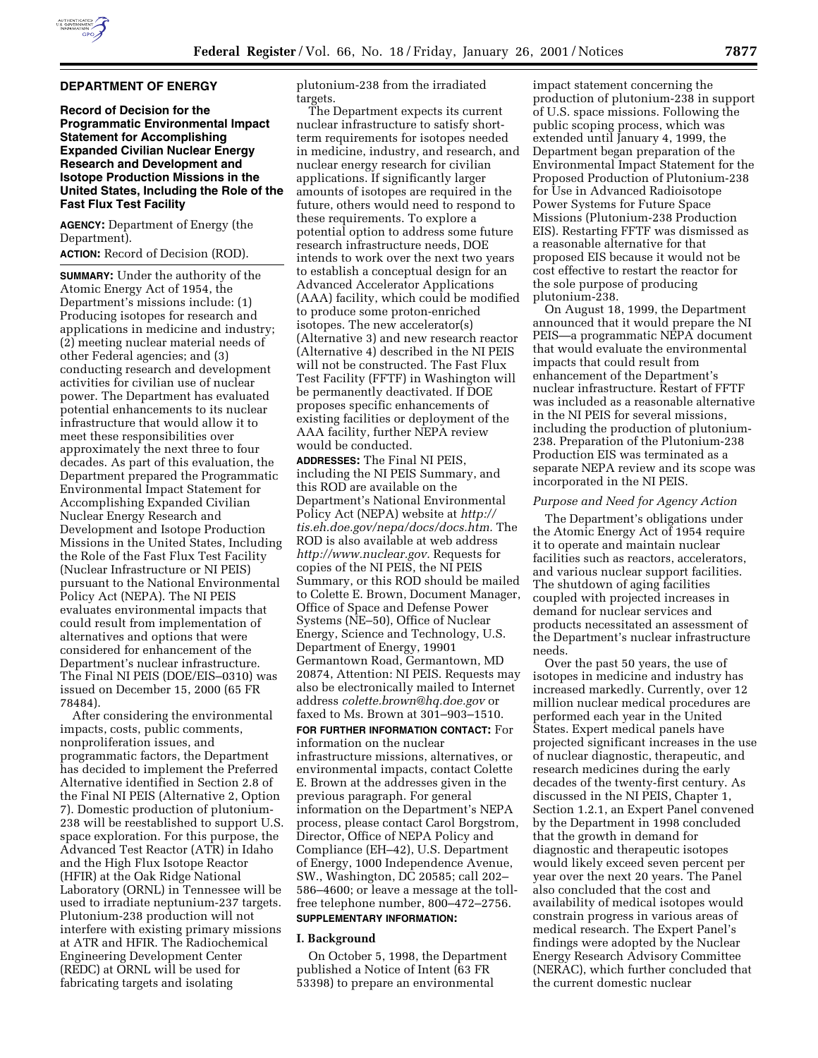

# **DEPARTMENT OF ENERGY**

**Record of Decision for the Programmatic Environmental Impact Statement for Accomplishing Expanded Civilian Nuclear Energy Research and Development and Isotope Production Missions in the United States, Including the Role of the Fast Flux Test Facility**

**AGENCY:** Department of Energy (the Department).

**ACTION:** Record of Decision (ROD).

**SUMMARY:** Under the authority of the Atomic Energy Act of 1954, the Department's missions include: (1) Producing isotopes for research and applications in medicine and industry; (2) meeting nuclear material needs of other Federal agencies; and (3) conducting research and development activities for civilian use of nuclear power. The Department has evaluated potential enhancements to its nuclear infrastructure that would allow it to meet these responsibilities over approximately the next three to four decades. As part of this evaluation, the Department prepared the Programmatic Environmental Impact Statement for Accomplishing Expanded Civilian Nuclear Energy Research and Development and Isotope Production Missions in the United States, Including the Role of the Fast Flux Test Facility (Nuclear Infrastructure or NI PEIS) pursuant to the National Environmental Policy Act (NEPA). The NI PEIS evaluates environmental impacts that could result from implementation of alternatives and options that were considered for enhancement of the Department's nuclear infrastructure. The Final NI PEIS (DOE/EIS–0310) was issued on December 15, 2000 (65 FR 78484).

After considering the environmental impacts, costs, public comments, nonproliferation issues, and programmatic factors, the Department has decided to implement the Preferred Alternative identified in Section 2.8 of the Final NI PEIS (Alternative 2, Option 7). Domestic production of plutonium-238 will be reestablished to support U.S. space exploration. For this purpose, the Advanced Test Reactor (ATR) in Idaho and the High Flux Isotope Reactor (HFIR) at the Oak Ridge National Laboratory (ORNL) in Tennessee will be used to irradiate neptunium-237 targets. Plutonium-238 production will not interfere with existing primary missions at ATR and HFIR. The Radiochemical Engineering Development Center (REDC) at ORNL will be used for fabricating targets and isolating

plutonium-238 from the irradiated targets.

The Department expects its current nuclear infrastructure to satisfy shortterm requirements for isotopes needed in medicine, industry, and research, and nuclear energy research for civilian applications. If significantly larger amounts of isotopes are required in the future, others would need to respond to these requirements. To explore a potential option to address some future research infrastructure needs, DOE intends to work over the next two years to establish a conceptual design for an Advanced Accelerator Applications (AAA) facility, which could be modified to produce some proton-enriched isotopes. The new accelerator(s) (Alternative 3) and new research reactor (Alternative 4) described in the NI PEIS will not be constructed. The Fast Flux Test Facility (FFTF) in Washington will be permanently deactivated. If DOE proposes specific enhancements of existing facilities or deployment of the AAA facility, further NEPA review would be conducted. **ADDRESSES:** The Final NI PEIS,

including the NI PEIS Summary, and this ROD are available on the Department's National Environmental Policy Act (NEPA) website at *http:// tis.eh.doe.gov/nepa/docs/docs.htm.* The ROD is also available at web address *http://www.nuclear.gov.* Requests for copies of the NI PEIS, the NI PEIS Summary, or this ROD should be mailed to Colette E. Brown, Document Manager, Office of Space and Defense Power Systems (NE–50), Office of Nuclear Energy, Science and Technology, U.S. Department of Energy, 19901 Germantown Road, Germantown, MD 20874, Attention: NI PEIS. Requests may also be electronically mailed to Internet address *colette.brown@hq.doe.gov* or faxed to Ms. Brown at 301–903–1510. **FOR FURTHER INFORMATION CONTACT:** For

information on the nuclear infrastructure missions, alternatives, or environmental impacts, contact Colette E. Brown at the addresses given in the previous paragraph. For general information on the Department's NEPA process, please contact Carol Borgstrom, Director, Office of NEPA Policy and Compliance (EH–42), U.S. Department of Energy, 1000 Independence Avenue, SW., Washington, DC 20585; call 202– 586–4600; or leave a message at the tollfree telephone number, 800–472–2756. **SUPPLEMENTARY INFORMATION:**

# **I. Background**

On October 5, 1998, the Department published a Notice of Intent (63 FR 53398) to prepare an environmental

impact statement concerning the production of plutonium-238 in support of U.S. space missions. Following the public scoping process, which was extended until January 4, 1999, the Department began preparation of the Environmental Impact Statement for the Proposed Production of Plutonium-238 for Use in Advanced Radioisotope Power Systems for Future Space Missions (Plutonium-238 Production EIS). Restarting FFTF was dismissed as a reasonable alternative for that proposed EIS because it would not be cost effective to restart the reactor for the sole purpose of producing plutonium-238.

On August 18, 1999, the Department announced that it would prepare the NI PEIS—a programmatic NEPA document that would evaluate the environmental impacts that could result from enhancement of the Department's nuclear infrastructure. Restart of FFTF was included as a reasonable alternative in the NI PEIS for several missions, including the production of plutonium-238. Preparation of the Plutonium-238 Production EIS was terminated as a separate NEPA review and its scope was incorporated in the NI PEIS.

#### *Purpose and Need for Agency Action*

The Department's obligations under the Atomic Energy Act of 1954 require it to operate and maintain nuclear facilities such as reactors, accelerators, and various nuclear support facilities. The shutdown of aging facilities coupled with projected increases in demand for nuclear services and products necessitated an assessment of the Department's nuclear infrastructure needs.

Over the past 50 years, the use of isotopes in medicine and industry has increased markedly. Currently, over 12 million nuclear medical procedures are performed each year in the United States. Expert medical panels have projected significant increases in the use of nuclear diagnostic, therapeutic, and research medicines during the early decades of the twenty-first century. As discussed in the NI PEIS, Chapter 1, Section 1.2.1, an Expert Panel convened by the Department in 1998 concluded that the growth in demand for diagnostic and therapeutic isotopes would likely exceed seven percent per year over the next 20 years. The Panel also concluded that the cost and availability of medical isotopes would constrain progress in various areas of medical research. The Expert Panel's findings were adopted by the Nuclear Energy Research Advisory Committee (NERAC), which further concluded that the current domestic nuclear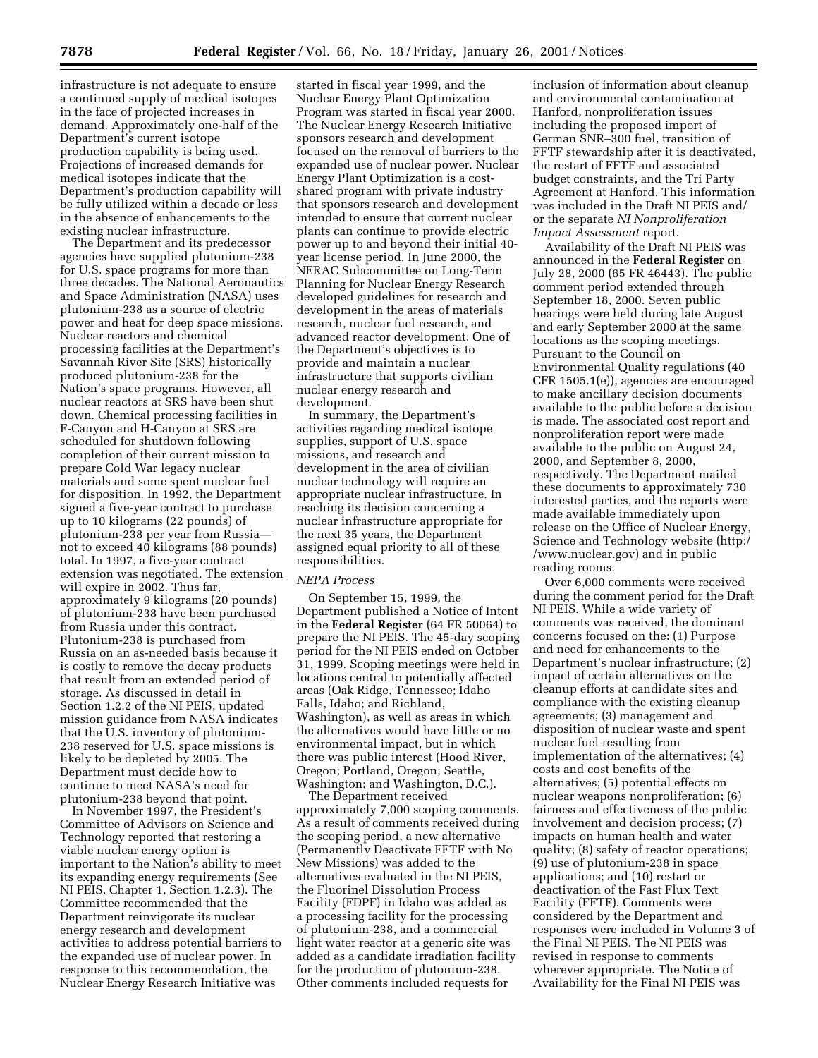infrastructure is not adequate to ensure a continued supply of medical isotopes in the face of projected increases in demand. Approximately one-half of the Department's current isotope production capability is being used. Projections of increased demands for medical isotopes indicate that the Department's production capability will be fully utilized within a decade or less in the absence of enhancements to the existing nuclear infrastructure.

The Department and its predecessor agencies have supplied plutonium-238 for U.S. space programs for more than three decades. The National Aeronautics and Space Administration (NASA) uses plutonium-238 as a source of electric power and heat for deep space missions. Nuclear reactors and chemical processing facilities at the Department's Savannah River Site (SRS) historically produced plutonium-238 for the Nation's space programs. However, all nuclear reactors at SRS have been shut down. Chemical processing facilities in F-Canyon and H-Canyon at SRS are scheduled for shutdown following completion of their current mission to prepare Cold War legacy nuclear materials and some spent nuclear fuel for disposition. In 1992, the Department signed a five-year contract to purchase up to 10 kilograms (22 pounds) of plutonium-238 per year from Russia not to exceed 40 kilograms (88 pounds) total. In 1997, a five-year contract extension was negotiated. The extension will expire in 2002. Thus far, approximately 9 kilograms (20 pounds) of plutonium-238 have been purchased from Russia under this contract. Plutonium-238 is purchased from Russia on an as-needed basis because it is costly to remove the decay products that result from an extended period of storage. As discussed in detail in Section 1.2.2 of the NI PEIS, updated mission guidance from NASA indicates that the U.S. inventory of plutonium-238 reserved for U.S. space missions is likely to be depleted by 2005. The Department must decide how to continue to meet NASA's need for plutonium-238 beyond that point.

In November 1997, the President's Committee of Advisors on Science and Technology reported that restoring a viable nuclear energy option is important to the Nation's ability to meet its expanding energy requirements (See NI PEIS, Chapter 1, Section 1.2.3). The Committee recommended that the Department reinvigorate its nuclear energy research and development activities to address potential barriers to the expanded use of nuclear power. In response to this recommendation, the Nuclear Energy Research Initiative was

started in fiscal year 1999, and the Nuclear Energy Plant Optimization Program was started in fiscal year 2000. The Nuclear Energy Research Initiative sponsors research and development focused on the removal of barriers to the expanded use of nuclear power. Nuclear Energy Plant Optimization is a costshared program with private industry that sponsors research and development intended to ensure that current nuclear plants can continue to provide electric power up to and beyond their initial 40 year license period. In June 2000, the NERAC Subcommittee on Long-Term Planning for Nuclear Energy Research developed guidelines for research and development in the areas of materials research, nuclear fuel research, and advanced reactor development. One of the Department's objectives is to provide and maintain a nuclear infrastructure that supports civilian nuclear energy research and development.

In summary, the Department's activities regarding medical isotope supplies, support of U.S. space missions, and research and development in the area of civilian nuclear technology will require an appropriate nuclear infrastructure. In reaching its decision concerning a nuclear infrastructure appropriate for the next 35 years, the Department assigned equal priority to all of these responsibilities.

#### *NEPA Process*

On September 15, 1999, the Department published a Notice of Intent in the **Federal Register** (64 FR 50064) to prepare the NI PEIS. The 45-day scoping period for the NI PEIS ended on October 31, 1999. Scoping meetings were held in locations central to potentially affected areas (Oak Ridge, Tennessee; Idaho Falls, Idaho; and Richland, Washington), as well as areas in which the alternatives would have little or no environmental impact, but in which there was public interest (Hood River, Oregon; Portland, Oregon; Seattle, Washington; and Washington, D.C.).

The Department received approximately 7,000 scoping comments. As a result of comments received during the scoping period, a new alternative (Permanently Deactivate FFTF with No New Missions) was added to the alternatives evaluated in the NI PEIS, the Fluorinel Dissolution Process Facility (FDPF) in Idaho was added as a processing facility for the processing of plutonium-238, and a commercial light water reactor at a generic site was added as a candidate irradiation facility for the production of plutonium-238. Other comments included requests for

inclusion of information about cleanup and environmental contamination at Hanford, nonproliferation issues including the proposed import of German SNR–300 fuel, transition of FFTF stewardship after it is deactivated, the restart of FFTF and associated budget constraints, and the Tri Party Agreement at Hanford. This information was included in the Draft NI PEIS and/ or the separate *NI Nonproliferation Impact Assessment* report.

Availability of the Draft NI PEIS was announced in the **Federal Register** on July 28, 2000 (65 FR 46443). The public comment period extended through September 18, 2000. Seven public hearings were held during late August and early September 2000 at the same locations as the scoping meetings. Pursuant to the Council on Environmental Quality regulations (40 CFR 1505.1(e)), agencies are encouraged to make ancillary decision documents available to the public before a decision is made. The associated cost report and nonproliferation report were made available to the public on August 24, 2000, and September 8, 2000, respectively. The Department mailed these documents to approximately 730 interested parties, and the reports were made available immediately upon release on the Office of Nuclear Energy, Science and Technology website (http:/ /www.nuclear.gov) and in public reading rooms.

Over 6,000 comments were received during the comment period for the Draft NI PEIS. While a wide variety of comments was received, the dominant concerns focused on the: (1) Purpose and need for enhancements to the Department's nuclear infrastructure; (2) impact of certain alternatives on the cleanup efforts at candidate sites and compliance with the existing cleanup agreements; (3) management and disposition of nuclear waste and spent nuclear fuel resulting from implementation of the alternatives; (4) costs and cost benefits of the alternatives; (5) potential effects on nuclear weapons nonproliferation; (6) fairness and effectiveness of the public involvement and decision process; (7) impacts on human health and water quality; (8) safety of reactor operations; (9) use of plutonium-238 in space applications; and (10) restart or deactivation of the Fast Flux Text Facility (FFTF). Comments were considered by the Department and responses were included in Volume 3 of the Final NI PEIS. The NI PEIS was revised in response to comments wherever appropriate. The Notice of Availability for the Final NI PEIS was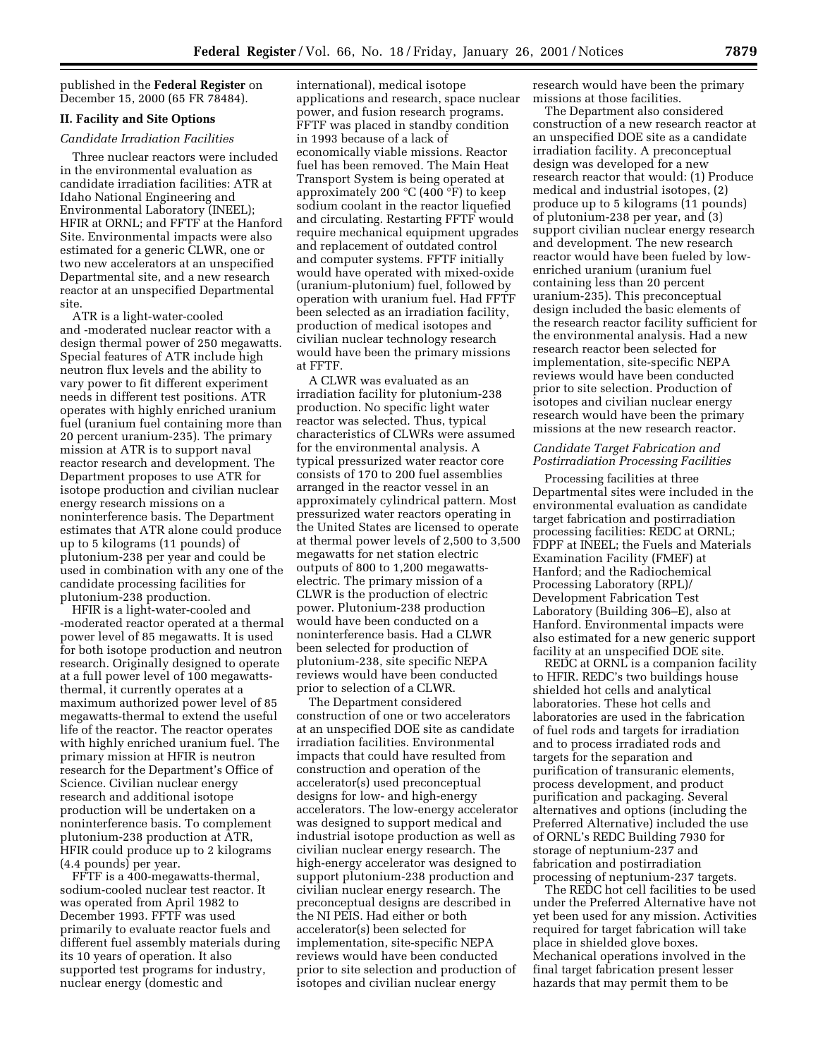published in the **Federal Register** on December 15, 2000 (65 FR 78484).

# **II. Facility and Site Options**

#### *Candidate Irradiation Facilities*

Three nuclear reactors were included in the environmental evaluation as candidate irradiation facilities: ATR at Idaho National Engineering and Environmental Laboratory (INEEL); HFIR at ORNL; and FFTF at the Hanford Site. Environmental impacts were also estimated for a generic CLWR, one or two new accelerators at an unspecified Departmental site, and a new research reactor at an unspecified Departmental site.

ATR is a light-water-cooled and -moderated nuclear reactor with a design thermal power of 250 megawatts. Special features of ATR include high neutron flux levels and the ability to vary power to fit different experiment needs in different test positions. ATR operates with highly enriched uranium fuel (uranium fuel containing more than 20 percent uranium-235). The primary mission at ATR is to support naval reactor research and development. The Department proposes to use ATR for isotope production and civilian nuclear energy research missions on a noninterference basis. The Department estimates that ATR alone could produce up to 5 kilograms (11 pounds) of plutonium-238 per year and could be used in combination with any one of the candidate processing facilities for plutonium-238 production.

HFIR is a light-water-cooled and -moderated reactor operated at a thermal power level of 85 megawatts. It is used for both isotope production and neutron research. Originally designed to operate at a full power level of 100 megawattsthermal, it currently operates at a maximum authorized power level of 85 megawatts-thermal to extend the useful life of the reactor. The reactor operates with highly enriched uranium fuel. The primary mission at HFIR is neutron research for the Department's Office of Science. Civilian nuclear energy research and additional isotope production will be undertaken on a noninterference basis. To complement plutonium-238 production at ATR, HFIR could produce up to 2 kilograms (4.4 pounds) per year.

FFTF is a 400-megawatts-thermal, sodium-cooled nuclear test reactor. It was operated from April 1982 to December 1993. FFTF was used primarily to evaluate reactor fuels and different fuel assembly materials during its 10 years of operation. It also supported test programs for industry, nuclear energy (domestic and

international), medical isotope applications and research, space nuclear power, and fusion research programs. FFTF was placed in standby condition in 1993 because of a lack of economically viable missions. Reactor fuel has been removed. The Main Heat Transport System is being operated at approximately 200 °C (400 °F) to keep sodium coolant in the reactor liquefied and circulating. Restarting FFTF would require mechanical equipment upgrades and replacement of outdated control and computer systems. FFTF initially would have operated with mixed-oxide (uranium-plutonium) fuel, followed by operation with uranium fuel. Had FFTF been selected as an irradiation facility, production of medical isotopes and civilian nuclear technology research would have been the primary missions at FFTF.

A CLWR was evaluated as an irradiation facility for plutonium-238 production. No specific light water reactor was selected. Thus, typical characteristics of CLWRs were assumed for the environmental analysis. A typical pressurized water reactor core consists of 170 to 200 fuel assemblies arranged in the reactor vessel in an approximately cylindrical pattern. Most pressurized water reactors operating in the United States are licensed to operate at thermal power levels of 2,500 to 3,500 megawatts for net station electric outputs of 800 to 1,200 megawattselectric. The primary mission of a CLWR is the production of electric power. Plutonium-238 production would have been conducted on a noninterference basis. Had a CLWR been selected for production of plutonium-238, site specific NEPA reviews would have been conducted prior to selection of a CLWR.

The Department considered construction of one or two accelerators at an unspecified DOE site as candidate irradiation facilities. Environmental impacts that could have resulted from construction and operation of the accelerator(s) used preconceptual designs for low- and high-energy accelerators. The low-energy accelerator was designed to support medical and industrial isotope production as well as civilian nuclear energy research. The high-energy accelerator was designed to support plutonium-238 production and civilian nuclear energy research. The preconceptual designs are described in the NI PEIS. Had either or both accelerator(s) been selected for implementation, site-specific NEPA reviews would have been conducted prior to site selection and production of isotopes and civilian nuclear energy

research would have been the primary missions at those facilities.

The Department also considered construction of a new research reactor at an unspecified DOE site as a candidate irradiation facility. A preconceptual design was developed for a new research reactor that would: (1) Produce medical and industrial isotopes, (2) produce up to 5 kilograms (11 pounds) of plutonium-238 per year, and (3) support civilian nuclear energy research and development. The new research reactor would have been fueled by lowenriched uranium (uranium fuel containing less than 20 percent uranium-235). This preconceptual design included the basic elements of the research reactor facility sufficient for the environmental analysis. Had a new research reactor been selected for implementation, site-specific NEPA reviews would have been conducted prior to site selection. Production of isotopes and civilian nuclear energy research would have been the primary missions at the new research reactor.

## *Candidate Target Fabrication and Postirradiation Processing Facilities*

Processing facilities at three Departmental sites were included in the environmental evaluation as candidate target fabrication and postirradiation processing facilities: REDC at ORNL; FDPF at INEEL; the Fuels and Materials Examination Facility (FMEF) at Hanford; and the Radiochemical Processing Laboratory (RPL)/ Development Fabrication Test Laboratory (Building 306–E), also at Hanford. Environmental impacts were also estimated for a new generic support facility at an unspecified DOE site.

REDC at ORNL is a companion facility to HFIR. REDC's two buildings house shielded hot cells and analytical laboratories. These hot cells and laboratories are used in the fabrication of fuel rods and targets for irradiation and to process irradiated rods and targets for the separation and purification of transuranic elements, process development, and product purification and packaging. Several alternatives and options (including the Preferred Alternative) included the use of ORNL's REDC Building 7930 for storage of neptunium-237 and fabrication and postirradiation processing of neptunium-237 targets.

The REDC hot cell facilities to be used under the Preferred Alternative have not yet been used for any mission. Activities required for target fabrication will take place in shielded glove boxes. Mechanical operations involved in the final target fabrication present lesser hazards that may permit them to be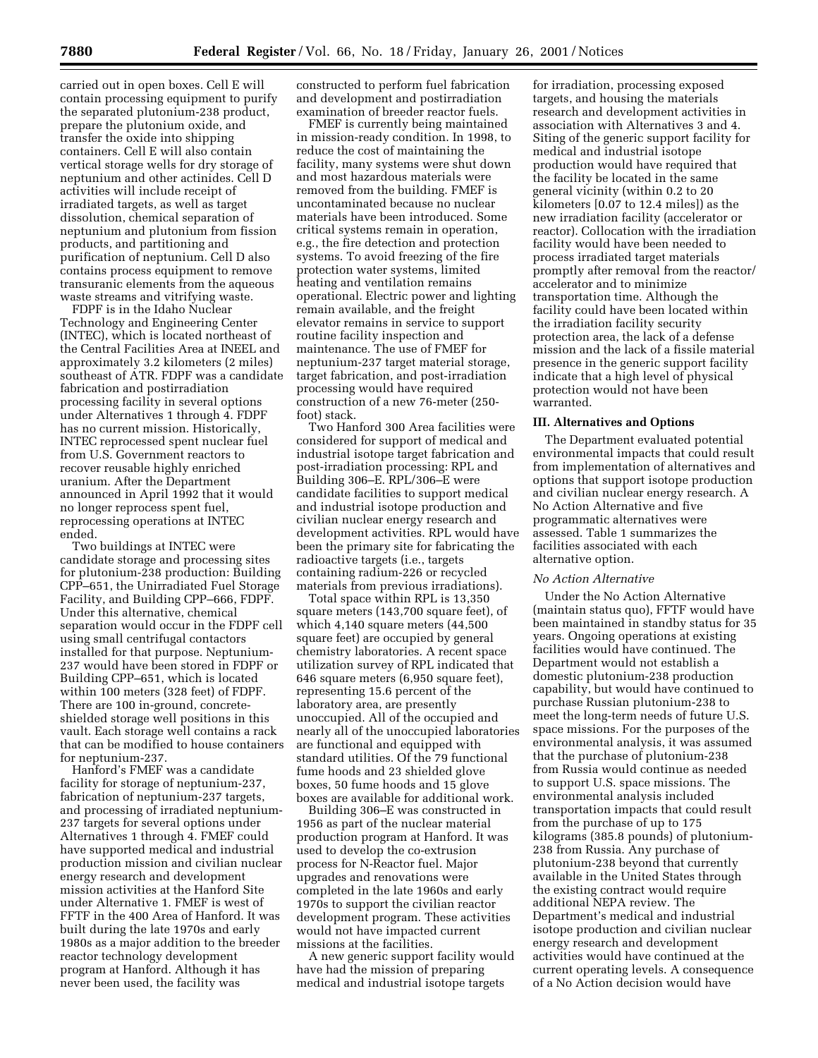carried out in open boxes. Cell E will contain processing equipment to purify the separated plutonium-238 product, prepare the plutonium oxide, and transfer the oxide into shipping containers. Cell E will also contain vertical storage wells for dry storage of neptunium and other actinides. Cell D activities will include receipt of irradiated targets, as well as target dissolution, chemical separation of neptunium and plutonium from fission products, and partitioning and purification of neptunium. Cell D also contains process equipment to remove transuranic elements from the aqueous waste streams and vitrifying waste.

FDPF is in the Idaho Nuclear Technology and Engineering Center (INTEC), which is located northeast of the Central Facilities Area at INEEL and approximately 3.2 kilometers (2 miles) southeast of ATR. FDPF was a candidate fabrication and postirradiation processing facility in several options under Alternatives 1 through 4. FDPF has no current mission. Historically, INTEC reprocessed spent nuclear fuel from U.S. Government reactors to recover reusable highly enriched uranium. After the Department announced in April 1992 that it would no longer reprocess spent fuel, reprocessing operations at INTEC ended.

Two buildings at INTEC were candidate storage and processing sites for plutonium-238 production: Building CPP–651, the Unirradiated Fuel Storage Facility, and Building CPP–666, FDPF. Under this alternative, chemical separation would occur in the FDPF cell using small centrifugal contactors installed for that purpose. Neptunium-237 would have been stored in FDPF or Building CPP–651, which is located within 100 meters (328 feet) of FDPF. There are 100 in-ground, concreteshielded storage well positions in this vault. Each storage well contains a rack that can be modified to house containers for neptunium-237.

Hanford's FMEF was a candidate facility for storage of neptunium-237, fabrication of neptunium-237 targets, and processing of irradiated neptunium-237 targets for several options under Alternatives 1 through 4. FMEF could have supported medical and industrial production mission and civilian nuclear energy research and development mission activities at the Hanford Site under Alternative 1. FMEF is west of FFTF in the 400 Area of Hanford. It was built during the late 1970s and early 1980s as a major addition to the breeder reactor technology development program at Hanford. Although it has never been used, the facility was

constructed to perform fuel fabrication and development and postirradiation examination of breeder reactor fuels.

FMEF is currently being maintained in mission-ready condition. In 1998, to reduce the cost of maintaining the facility, many systems were shut down and most hazardous materials were removed from the building. FMEF is uncontaminated because no nuclear materials have been introduced. Some critical systems remain in operation, e.g., the fire detection and protection systems. To avoid freezing of the fire protection water systems, limited heating and ventilation remains operational. Electric power and lighting remain available, and the freight elevator remains in service to support routine facility inspection and maintenance. The use of FMEF for neptunium-237 target material storage, target fabrication, and post-irradiation processing would have required construction of a new 76-meter (250 foot) stack.

Two Hanford 300 Area facilities were considered for support of medical and industrial isotope target fabrication and post-irradiation processing: RPL and Building 306–E. RPL/306–E were candidate facilities to support medical and industrial isotope production and civilian nuclear energy research and development activities. RPL would have been the primary site for fabricating the radioactive targets (i.e., targets containing radium-226 or recycled materials from previous irradiations).

Total space within RPL is 13,350 square meters (143,700 square feet), of which 4,140 square meters (44,500 square feet) are occupied by general chemistry laboratories. A recent space utilization survey of RPL indicated that 646 square meters (6,950 square feet), representing 15.6 percent of the laboratory area, are presently unoccupied. All of the occupied and nearly all of the unoccupied laboratories are functional and equipped with standard utilities. Of the 79 functional fume hoods and 23 shielded glove boxes, 50 fume hoods and 15 glove boxes are available for additional work.

Building 306–E was constructed in 1956 as part of the nuclear material production program at Hanford. It was used to develop the co-extrusion process for N-Reactor fuel. Major upgrades and renovations were completed in the late 1960s and early 1970s to support the civilian reactor development program. These activities would not have impacted current missions at the facilities.

A new generic support facility would have had the mission of preparing medical and industrial isotope targets

for irradiation, processing exposed targets, and housing the materials research and development activities in association with Alternatives 3 and 4. Siting of the generic support facility for medical and industrial isotope production would have required that the facility be located in the same general vicinity (within 0.2 to 20 kilometers [0.07 to 12.4 miles]) as the new irradiation facility (accelerator or reactor). Collocation with the irradiation facility would have been needed to process irradiated target materials promptly after removal from the reactor/ accelerator and to minimize transportation time. Although the facility could have been located within the irradiation facility security protection area, the lack of a defense mission and the lack of a fissile material presence in the generic support facility indicate that a high level of physical protection would not have been warranted.

#### **III. Alternatives and Options**

The Department evaluated potential environmental impacts that could result from implementation of alternatives and options that support isotope production and civilian nuclear energy research. A No Action Alternative and five programmatic alternatives were assessed. Table 1 summarizes the facilities associated with each alternative option.

#### *No Action Alternative*

Under the No Action Alternative (maintain status quo), FFTF would have been maintained in standby status for 35 years. Ongoing operations at existing facilities would have continued. The Department would not establish a domestic plutonium-238 production capability, but would have continued to purchase Russian plutonium-238 to meet the long-term needs of future U.S. space missions. For the purposes of the environmental analysis, it was assumed that the purchase of plutonium-238 from Russia would continue as needed to support U.S. space missions. The environmental analysis included transportation impacts that could result from the purchase of up to 175 kilograms (385.8 pounds) of plutonium-238 from Russia. Any purchase of plutonium-238 beyond that currently available in the United States through the existing contract would require additional NEPA review. The Department's medical and industrial isotope production and civilian nuclear energy research and development activities would have continued at the current operating levels. A consequence of a No Action decision would have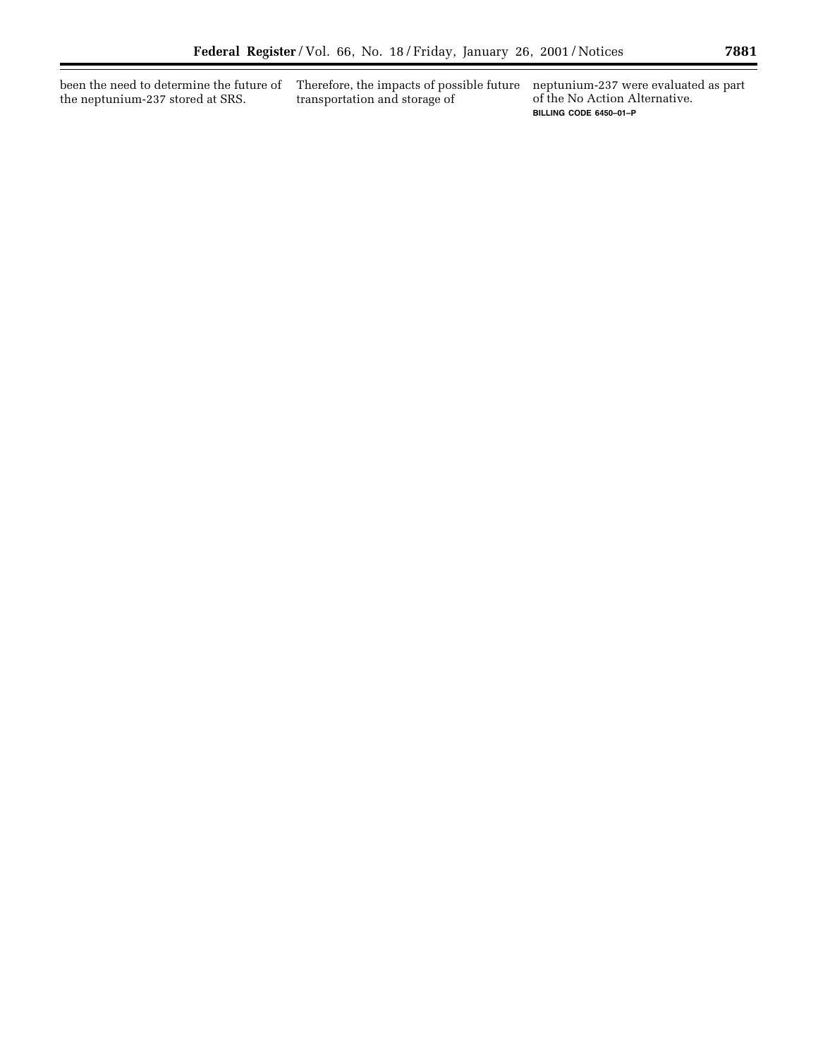been the need to determine the future of Therefore, the impacts of possible future the neptunium-237 stored at SRS.

transportation and storage of

neptunium-237 were evaluated as part of the No Action Alternative. **BILLING CODE 6450–01–P**

▀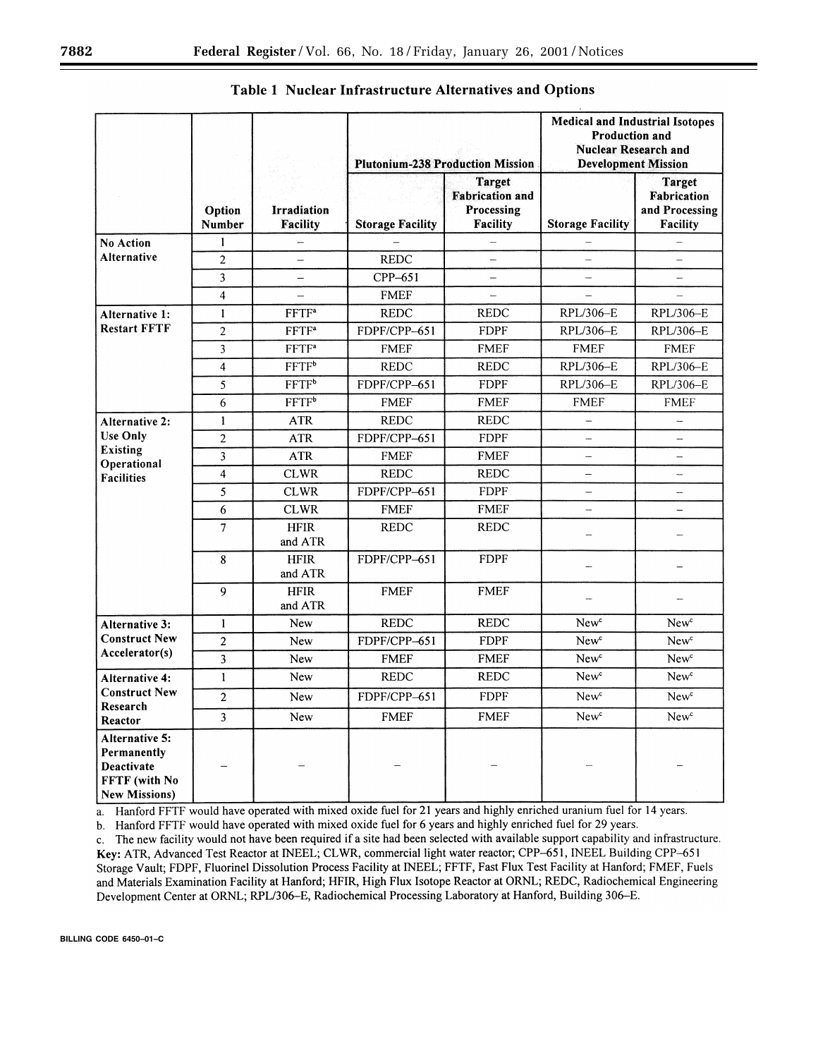|                                                                                                 |                         |                                       | <b>Plutonium-238 Production Mission</b> |                                                                   | <b>Medical and Industrial Isotopes</b><br><b>Production and</b><br><b>Nuclear Research and</b><br><b>Development Mission</b> |                                                            |
|-------------------------------------------------------------------------------------------------|-------------------------|---------------------------------------|-----------------------------------------|-------------------------------------------------------------------|------------------------------------------------------------------------------------------------------------------------------|------------------------------------------------------------|
|                                                                                                 | Option<br><b>Number</b> | <b>Irradiation</b><br><b>Facility</b> | <b>Storage Facility</b>                 | <b>Target</b><br><b>Fabrication and</b><br>Processing<br>Facility | <b>Storage Facility</b>                                                                                                      | <b>Target</b><br>Fabrication<br>and Processing<br>Facility |
| <b>No Action</b><br><b>Alternative</b>                                                          | $\mathbf{1}$            | -                                     |                                         |                                                                   |                                                                                                                              |                                                            |
|                                                                                                 | $\overline{c}$          | $\overline{\phantom{0}}$              | <b>REDC</b>                             | $\overline{\phantom{0}}$                                          |                                                                                                                              |                                                            |
|                                                                                                 | $\overline{\mathbf{3}}$ | $\overline{\phantom{0}}$              | CPP-651                                 | -                                                                 |                                                                                                                              | $\overline{\phantom{0}}$                                   |
|                                                                                                 | $\overline{4}$          | —                                     | <b>FMEF</b>                             | └                                                                 |                                                                                                                              |                                                            |
| Alternative 1:<br><b>Restart FFTF</b>                                                           | $\mathbf{1}$            | <b>FFTF</b> <sup>a</sup>              | <b>REDC</b>                             | <b>REDC</b>                                                       | RPL/306-E                                                                                                                    | RPL/306-E                                                  |
|                                                                                                 | $\overline{c}$          | FFTF <sup>a</sup>                     | FDPF/CPP-651                            | <b>FDPF</b>                                                       | RPL/306-E                                                                                                                    | RPL/306-E                                                  |
|                                                                                                 | 3                       | FFTF <sup>a</sup>                     | <b>FMEF</b>                             | <b>FMEF</b>                                                       | <b>FMEF</b>                                                                                                                  | <b>FMEF</b>                                                |
|                                                                                                 | $\overline{\mathbf{4}}$ | $\overline{FFTF^b}$                   | <b>REDC</b>                             | <b>REDC</b>                                                       | RPL/306-E                                                                                                                    | RPL/306-E                                                  |
|                                                                                                 | 5                       | $\overline{FFTF^b}$                   | FDPF/CPP-651                            | <b>FDPF</b>                                                       | RPL/306-E                                                                                                                    | RPL/306-E                                                  |
|                                                                                                 | 6                       | FFTF <sup>b</sup>                     | <b>FMEF</b>                             | <b>FMEF</b>                                                       | <b>FMEF</b>                                                                                                                  | <b>FMEF</b>                                                |
| <b>Alternative 2:</b><br><b>Use Only</b><br><b>Existing</b><br>Operational<br><b>Facilities</b> | $\mathbf{1}$            | <b>ATR</b>                            | <b>REDC</b>                             | <b>REDC</b>                                                       | ÷,                                                                                                                           |                                                            |
|                                                                                                 | $\overline{2}$          | <b>ATR</b>                            | FDPF/CPP-651                            | <b>FDPF</b>                                                       | -                                                                                                                            | $\overline{\phantom{0}}$                                   |
|                                                                                                 | 3                       | <b>ATR</b>                            | <b>FMEF</b>                             | <b>FMEF</b>                                                       | -                                                                                                                            | $\overline{\phantom{0}}$                                   |
|                                                                                                 | $\overline{\mathbf{4}}$ | <b>CLWR</b>                           | <b>REDC</b>                             | <b>REDC</b>                                                       | -                                                                                                                            | $\overline{\phantom{0}}$                                   |
|                                                                                                 | 5                       | <b>CLWR</b>                           | FDPF/CPP-651                            | <b>FDPF</b>                                                       | <u></u>                                                                                                                      | L.                                                         |
|                                                                                                 | 6                       | <b>CLWR</b>                           | <b>FMEF</b>                             | <b>FMEF</b>                                                       | i.                                                                                                                           |                                                            |
|                                                                                                 | $\overline{7}$          | <b>HFIR</b><br>and ATR                | <b>REDC</b>                             | <b>REDC</b>                                                       | L,                                                                                                                           |                                                            |
|                                                                                                 | 8                       | <b>HFIR</b><br>and ATR                | FDPF/CPP-651                            | <b>FDPF</b>                                                       | $\overline{a}$                                                                                                               |                                                            |
|                                                                                                 | 9                       | <b>HFIR</b><br>and ATR                | <b>FMEF</b>                             | <b>FMEF</b>                                                       |                                                                                                                              |                                                            |
| Alternative 3:<br><b>Construct New</b><br>Accelerator(s)                                        | $\mathbf{1}$            | New                                   | <b>REDC</b>                             | <b>REDC</b>                                                       | New <sup>c</sup>                                                                                                             | New <sup>c</sup>                                           |
|                                                                                                 | $\mathbf{2}$            | New                                   | FDPF/CPP-651                            | <b>FDPF</b>                                                       | New <sup>c</sup>                                                                                                             | New <sup>c</sup>                                           |
|                                                                                                 | $\overline{\mathbf{3}}$ | New                                   | <b>FMEF</b>                             | <b>FMEF</b>                                                       | New <sup>c</sup>                                                                                                             | New <sup>c</sup>                                           |
| <b>Alternative 4:</b><br><b>Construct New</b><br>Research<br>Reactor                            | $\mathbf{1}$            | New                                   | <b>REDC</b>                             | <b>REDC</b>                                                       | New <sup>c</sup>                                                                                                             | New <sup>c</sup>                                           |
|                                                                                                 | $\overline{2}$          | New                                   | FDPF/CPP-651                            | <b>FDPF</b>                                                       | New <sup>c</sup>                                                                                                             | New <sup>c</sup>                                           |
|                                                                                                 | $\overline{3}$          | New                                   | <b>FMEF</b>                             | <b>FMEF</b>                                                       | New <sup>c</sup>                                                                                                             | New <sup>c</sup>                                           |
| Alternative 5:<br>Permanently<br>Deactivate<br>FFTF (with No<br><b>New Missions</b> )           |                         |                                       |                                         |                                                                   |                                                                                                                              |                                                            |

# Table 1 Nuclear Infrastructure Alternatives and Options

a. Hanford FFTF would have operated with mixed oxide fuel for 21 years and highly enriched uranium fuel for 14 years.

b. Hanford FFTF would have operated with mixed oxide fuel for 6 years and highly enriched fuel for 29 years.

c. The new facility would not have been required if a site had been selected with available support capability and infrastructure. Key: ATR, Advanced Test Reactor at INEEL; CLWR, commercial light water reactor; CPP-651, INEEL Building CPP-651 Storage Vault; FDPF, Fluorinel Dissolution Process Facility at INEEL; FFTF, Fast Flux Test Facility at Hanford; FMEF, Fuels and Materials Examination Facility at Hanford; HFIR, High Flux Isotope Reactor at ORNL; REDC, Radiochemical Engineering Development Center at ORNL; RPL/306-E, Radiochemical Processing Laboratory at Hanford, Building 306-E.

**BILLING CODE 6450–01–C**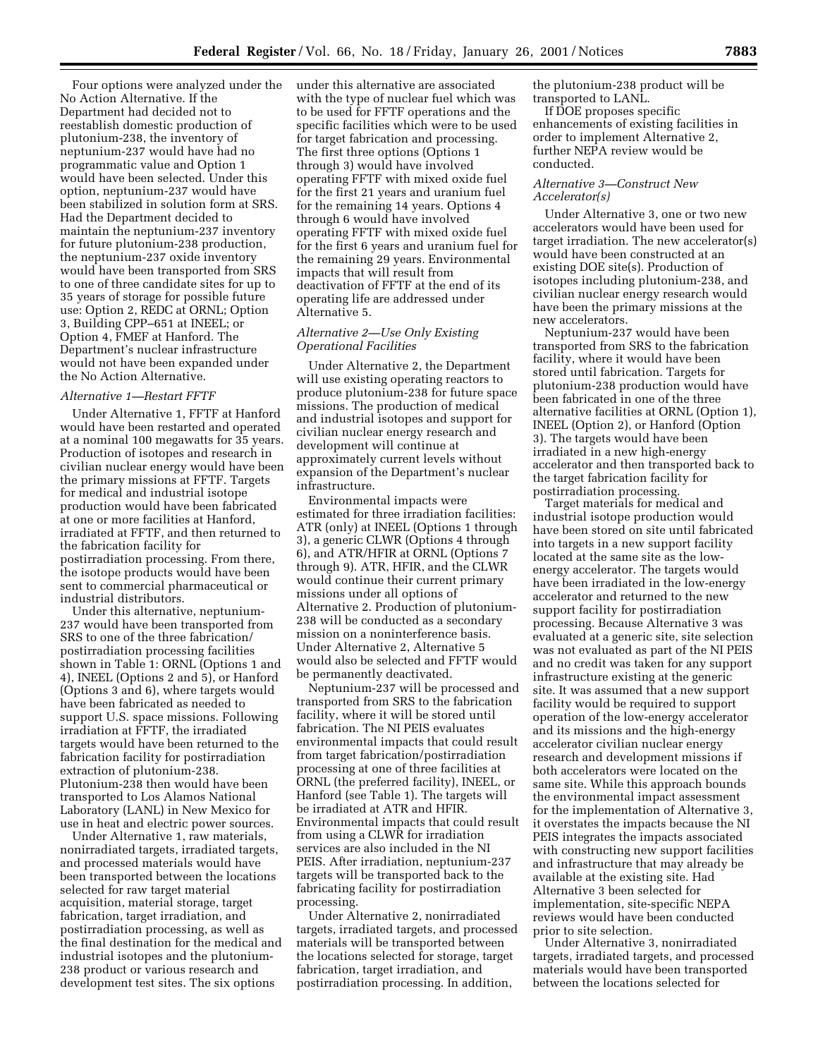Four options were analyzed under the No Action Alternative. If the Department had decided not to reestablish domestic production of plutonium-238, the inventory of neptunium-237 would have had no programmatic value and Option 1 would have been selected. Under this option, neptunium-237 would have been stabilized in solution form at SRS. Had the Department decided to maintain the neptunium-237 inventory for future plutonium-238 production, the neptunium-237 oxide inventory would have been transported from SRS to one of three candidate sites for up to 35 years of storage for possible future use: Option 2, REDC at ORNL; Option 3, Building CPP–651 at INEEL; or Option 4, FMEF at Hanford. The Department's nuclear infrastructure would not have been expanded under the No Action Alternative.

#### *Alternative 1—Restart FFTF*

Under Alternative 1, FFTF at Hanford would have been restarted and operated at a nominal 100 megawatts for 35 years. Production of isotopes and research in civilian nuclear energy would have been the primary missions at FFTF. Targets for medical and industrial isotope production would have been fabricated at one or more facilities at Hanford, irradiated at FFTF, and then returned to the fabrication facility for postirradiation processing. From there, the isotope products would have been sent to commercial pharmaceutical or industrial distributors.

Under this alternative, neptunium-237 would have been transported from SRS to one of the three fabrication/ postirradiation processing facilities shown in Table 1: ORNL (Options 1 and 4), INEEL (Options 2 and 5), or Hanford (Options 3 and 6), where targets would have been fabricated as needed to support U.S. space missions. Following irradiation at FFTF, the irradiated targets would have been returned to the fabrication facility for postirradiation extraction of plutonium-238. Plutonium-238 then would have been transported to Los Alamos National Laboratory (LANL) in New Mexico for use in heat and electric power sources.

Under Alternative 1, raw materials, nonirradiated targets, irradiated targets, and processed materials would have been transported between the locations selected for raw target material acquisition, material storage, target fabrication, target irradiation, and postirradiation processing, as well as the final destination for the medical and industrial isotopes and the plutonium-238 product or various research and development test sites. The six options

under this alternative are associated with the type of nuclear fuel which was to be used for FFTF operations and the specific facilities which were to be used for target fabrication and processing. The first three options (Options 1 through 3) would have involved operating FFTF with mixed oxide fuel for the first 21 years and uranium fuel for the remaining 14 years. Options 4 through 6 would have involved operating FFTF with mixed oxide fuel for the first 6 years and uranium fuel for the remaining 29 years. Environmental impacts that will result from deactivation of FFTF at the end of its operating life are addressed under Alternative 5.

# *Alternative 2—Use Only Existing Operational Facilities*

Under Alternative 2, the Department will use existing operating reactors to produce plutonium-238 for future space missions. The production of medical and industrial isotopes and support for civilian nuclear energy research and development will continue at approximately current levels without expansion of the Department's nuclear infrastructure.

Environmental impacts were estimated for three irradiation facilities: ATR (only) at INEEL (Options 1 through 3), a generic CLWR (Options 4 through 6), and ATR/HFIR at ORNL (Options 7 through 9). ATR, HFIR, and the CLWR would continue their current primary missions under all options of Alternative 2. Production of plutonium-238 will be conducted as a secondary mission on a noninterference basis. Under Alternative 2, Alternative 5 would also be selected and FFTF would be permanently deactivated.

Neptunium-237 will be processed and transported from SRS to the fabrication facility, where it will be stored until fabrication. The NI PEIS evaluates environmental impacts that could result from target fabrication/postirradiation processing at one of three facilities at ORNL (the preferred facility), INEEL, or Hanford (see Table 1). The targets will be irradiated at ATR and HFIR. Environmental impacts that could result from using a CLWR for irradiation services are also included in the NI PEIS. After irradiation, neptunium-237 targets will be transported back to the fabricating facility for postirradiation processing.

Under Alternative 2, nonirradiated targets, irradiated targets, and processed materials will be transported between the locations selected for storage, target fabrication, target irradiation, and postirradiation processing. In addition,

the plutonium-238 product will be transported to LANL.

If DOE proposes specific enhancements of existing facilities in order to implement Alternative 2, further NEPA review would be conducted.

# *Alternative 3—Construct New Accelerator(s)*

Under Alternative 3, one or two new accelerators would have been used for target irradiation. The new accelerator(s) would have been constructed at an existing DOE site(s). Production of isotopes including plutonium-238, and civilian nuclear energy research would have been the primary missions at the new accelerators.

Neptunium-237 would have been transported from SRS to the fabrication facility, where it would have been stored until fabrication. Targets for plutonium-238 production would have been fabricated in one of the three alternative facilities at ORNL (Option 1), INEEL (Option 2), or Hanford (Option 3). The targets would have been irradiated in a new high-energy accelerator and then transported back to the target fabrication facility for postirradiation processing.

Target materials for medical and industrial isotope production would have been stored on site until fabricated into targets in a new support facility located at the same site as the lowenergy accelerator. The targets would have been irradiated in the low-energy accelerator and returned to the new support facility for postirradiation processing. Because Alternative 3 was evaluated at a generic site, site selection was not evaluated as part of the NI PEIS and no credit was taken for any support infrastructure existing at the generic site. It was assumed that a new support facility would be required to support operation of the low-energy accelerator and its missions and the high-energy accelerator civilian nuclear energy research and development missions if both accelerators were located on the same site. While this approach bounds the environmental impact assessment for the implementation of Alternative 3, it overstates the impacts because the NI PEIS integrates the impacts associated with constructing new support facilities and infrastructure that may already be available at the existing site. Had Alternative 3 been selected for implementation, site-specific NEPA reviews would have been conducted prior to site selection.

Under Alternative 3, nonirradiated targets, irradiated targets, and processed materials would have been transported between the locations selected for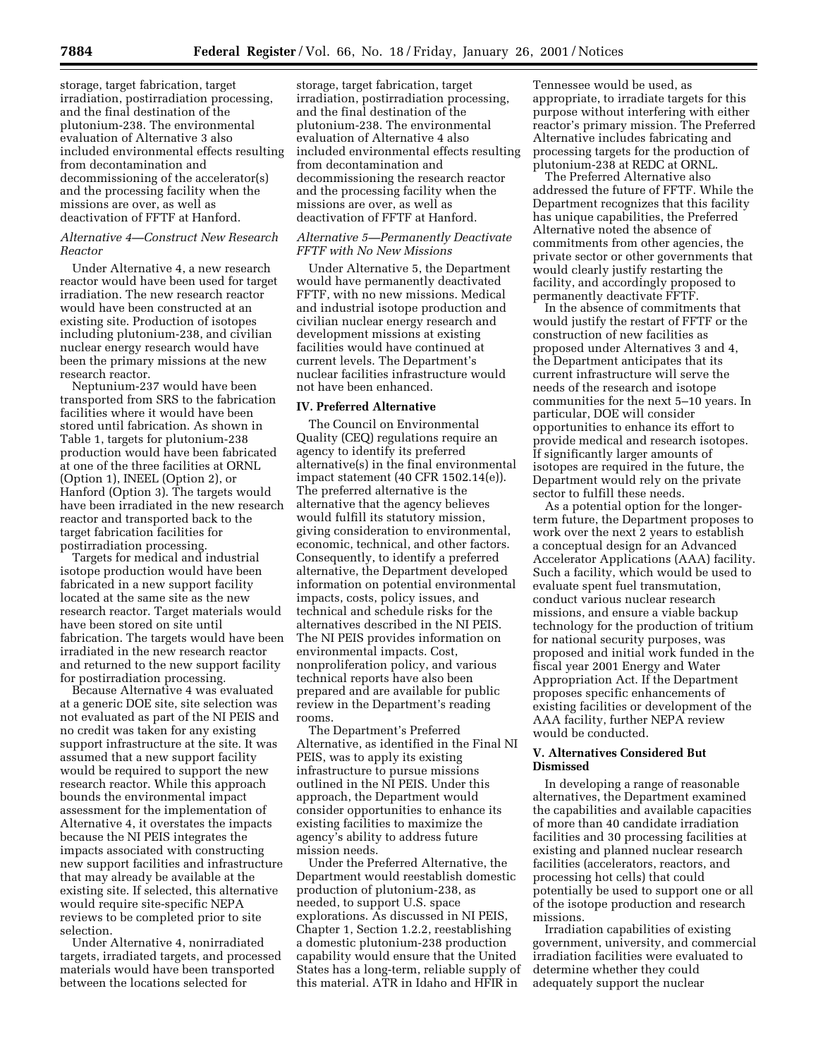storage, target fabrication, target irradiation, postirradiation processing, and the final destination of the plutonium-238. The environmental evaluation of Alternative 3 also included environmental effects resulting from decontamination and decommissioning of the accelerator(s) and the processing facility when the missions are over, as well as deactivation of FFTF at Hanford.

# *Alternative 4—Construct New Research Reactor*

Under Alternative 4, a new research reactor would have been used for target irradiation. The new research reactor would have been constructed at an existing site. Production of isotopes including plutonium-238, and civilian nuclear energy research would have been the primary missions at the new research reactor.

Neptunium-237 would have been transported from SRS to the fabrication facilities where it would have been stored until fabrication. As shown in Table 1, targets for plutonium-238 production would have been fabricated at one of the three facilities at ORNL (Option 1), INEEL (Option 2), or Hanford (Option 3). The targets would have been irradiated in the new research reactor and transported back to the target fabrication facilities for postirradiation processing.

Targets for medical and industrial isotope production would have been fabricated in a new support facility located at the same site as the new research reactor. Target materials would have been stored on site until fabrication. The targets would have been irradiated in the new research reactor and returned to the new support facility for postirradiation processing.

Because Alternative 4 was evaluated at a generic DOE site, site selection was not evaluated as part of the NI PEIS and no credit was taken for any existing support infrastructure at the site. It was assumed that a new support facility would be required to support the new research reactor. While this approach bounds the environmental impact assessment for the implementation of Alternative 4, it overstates the impacts because the NI PEIS integrates the impacts associated with constructing new support facilities and infrastructure that may already be available at the existing site. If selected, this alternative would require site-specific NEPA reviews to be completed prior to site selection.

Under Alternative 4, nonirradiated targets, irradiated targets, and processed materials would have been transported between the locations selected for

storage, target fabrication, target irradiation, postirradiation processing, and the final destination of the plutonium-238. The environmental evaluation of Alternative 4 also included environmental effects resulting from decontamination and decommissioning the research reactor and the processing facility when the missions are over, as well as deactivation of FFTF at Hanford.

#### *Alternative 5—Permanently Deactivate FFTF with No New Missions*

Under Alternative 5, the Department would have permanently deactivated FFTF, with no new missions. Medical and industrial isotope production and civilian nuclear energy research and development missions at existing facilities would have continued at current levels. The Department's nuclear facilities infrastructure would not have been enhanced.

#### **IV. Preferred Alternative**

The Council on Environmental Quality (CEQ) regulations require an agency to identify its preferred alternative(s) in the final environmental impact statement (40 CFR 1502.14(e)). The preferred alternative is the alternative that the agency believes would fulfill its statutory mission, giving consideration to environmental, economic, technical, and other factors. Consequently, to identify a preferred alternative, the Department developed information on potential environmental impacts, costs, policy issues, and technical and schedule risks for the alternatives described in the NI PEIS. The NI PEIS provides information on environmental impacts. Cost, nonproliferation policy, and various technical reports have also been prepared and are available for public review in the Department's reading rooms.

The Department's Preferred Alternative, as identified in the Final NI PEIS, was to apply its existing infrastructure to pursue missions outlined in the NI PEIS. Under this approach, the Department would consider opportunities to enhance its existing facilities to maximize the agency's ability to address future mission needs.

Under the Preferred Alternative, the Department would reestablish domestic production of plutonium-238, as needed, to support U.S. space explorations. As discussed in NI PEIS, Chapter 1, Section 1.2.2, reestablishing a domestic plutonium-238 production capability would ensure that the United States has a long-term, reliable supply of this material. ATR in Idaho and HFIR in

Tennessee would be used, as appropriate, to irradiate targets for this purpose without interfering with either reactor's primary mission. The Preferred Alternative includes fabricating and processing targets for the production of plutonium-238 at REDC at ORNL.

The Preferred Alternative also addressed the future of FFTF. While the Department recognizes that this facility has unique capabilities, the Preferred Alternative noted the absence of commitments from other agencies, the private sector or other governments that would clearly justify restarting the facility, and accordingly proposed to permanently deactivate FFTF.

In the absence of commitments that would justify the restart of FFTF or the construction of new facilities as proposed under Alternatives 3 and 4, the Department anticipates that its current infrastructure will serve the needs of the research and isotope communities for the next 5–10 years. In particular, DOE will consider opportunities to enhance its effort to provide medical and research isotopes. If significantly larger amounts of isotopes are required in the future, the Department would rely on the private sector to fulfill these needs.

As a potential option for the longerterm future, the Department proposes to work over the next 2 years to establish a conceptual design for an Advanced Accelerator Applications (AAA) facility. Such a facility, which would be used to evaluate spent fuel transmutation, conduct various nuclear research missions, and ensure a viable backup technology for the production of tritium for national security purposes, was proposed and initial work funded in the fiscal year 2001 Energy and Water Appropriation Act. If the Department proposes specific enhancements of existing facilities or development of the AAA facility, further NEPA review would be conducted.

## **V. Alternatives Considered But Dismissed**

In developing a range of reasonable alternatives, the Department examined the capabilities and available capacities of more than 40 candidate irradiation facilities and 30 processing facilities at existing and planned nuclear research facilities (accelerators, reactors, and processing hot cells) that could potentially be used to support one or all of the isotope production and research missions.

Irradiation capabilities of existing government, university, and commercial irradiation facilities were evaluated to determine whether they could adequately support the nuclear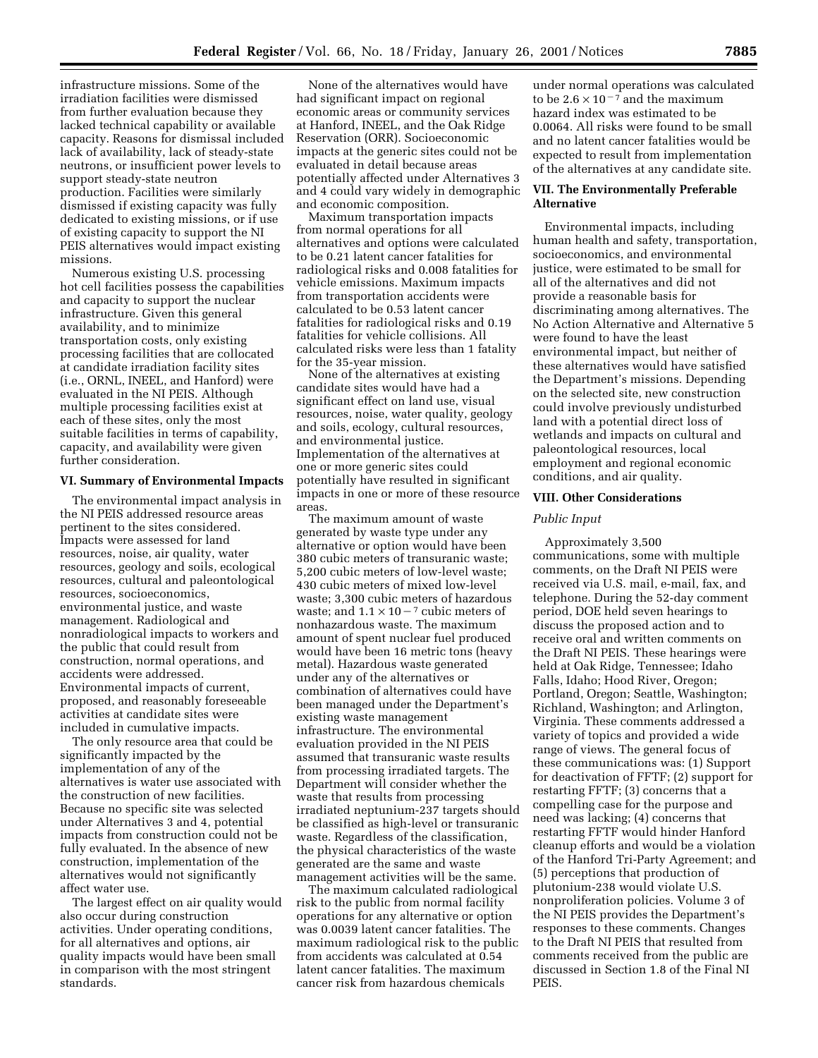infrastructure missions. Some of the irradiation facilities were dismissed from further evaluation because they lacked technical capability or available capacity. Reasons for dismissal included lack of availability, lack of steady-state neutrons, or insufficient power levels to support steady-state neutron production. Facilities were similarly dismissed if existing capacity was fully dedicated to existing missions, or if use of existing capacity to support the NI PEIS alternatives would impact existing missions.

Numerous existing U.S. processing hot cell facilities possess the capabilities and capacity to support the nuclear infrastructure. Given this general availability, and to minimize transportation costs, only existing processing facilities that are collocated at candidate irradiation facility sites (i.e., ORNL, INEEL, and Hanford) were evaluated in the NI PEIS. Although multiple processing facilities exist at each of these sites, only the most suitable facilities in terms of capability, capacity, and availability were given further consideration.

#### **VI. Summary of Environmental Impacts**

The environmental impact analysis in the NI PEIS addressed resource areas pertinent to the sites considered. Impacts were assessed for land resources, noise, air quality, water resources, geology and soils, ecological resources, cultural and paleontological resources, socioeconomics, environmental justice, and waste management. Radiological and nonradiological impacts to workers and the public that could result from construction, normal operations, and accidents were addressed. Environmental impacts of current, proposed, and reasonably foreseeable activities at candidate sites were included in cumulative impacts.

The only resource area that could be significantly impacted by the implementation of any of the alternatives is water use associated with the construction of new facilities. Because no specific site was selected under Alternatives 3 and 4, potential impacts from construction could not be fully evaluated. In the absence of new construction, implementation of the alternatives would not significantly affect water use.

The largest effect on air quality would also occur during construction activities. Under operating conditions, for all alternatives and options, air quality impacts would have been small in comparison with the most stringent standards.

None of the alternatives would have had significant impact on regional economic areas or community services at Hanford, INEEL, and the Oak Ridge Reservation (ORR). Socioeconomic impacts at the generic sites could not be evaluated in detail because areas potentially affected under Alternatives 3 and 4 could vary widely in demographic and economic composition.

Maximum transportation impacts from normal operations for all alternatives and options were calculated to be 0.21 latent cancer fatalities for radiological risks and 0.008 fatalities for vehicle emissions. Maximum impacts from transportation accidents were calculated to be 0.53 latent cancer fatalities for radiological risks and 0.19 fatalities for vehicle collisions. All calculated risks were less than 1 fatality for the 35-year mission.

None of the alternatives at existing candidate sites would have had a significant effect on land use, visual resources, noise, water quality, geology and soils, ecology, cultural resources, and environmental justice. Implementation of the alternatives at one or more generic sites could potentially have resulted in significant impacts in one or more of these resource areas.

The maximum amount of waste generated by waste type under any alternative or option would have been 380 cubic meters of transuranic waste; 5,200 cubic meters of low-level waste; 430 cubic meters of mixed low-level waste; 3,300 cubic meters of hazardous waste; and  $1.1 \times 10^{-7}$  cubic meters of nonhazardous waste. The maximum amount of spent nuclear fuel produced would have been 16 metric tons (heavy metal). Hazardous waste generated under any of the alternatives or combination of alternatives could have been managed under the Department's existing waste management infrastructure. The environmental evaluation provided in the NI PEIS assumed that transuranic waste results from processing irradiated targets. The Department will consider whether the waste that results from processing irradiated neptunium-237 targets should be classified as high-level or transuranic waste. Regardless of the classification, the physical characteristics of the waste generated are the same and waste management activities will be the same.

The maximum calculated radiological risk to the public from normal facility operations for any alternative or option was 0.0039 latent cancer fatalities. The maximum radiological risk to the public from accidents was calculated at 0.54 latent cancer fatalities. The maximum cancer risk from hazardous chemicals

under normal operations was calculated to be  $2.6 \times 10^{-7}$  and the maximum hazard index was estimated to be 0.0064. All risks were found to be small and no latent cancer fatalities would be expected to result from implementation of the alternatives at any candidate site.

# **VII. The Environmentally Preferable Alternative**

Environmental impacts, including human health and safety, transportation, socioeconomics, and environmental justice, were estimated to be small for all of the alternatives and did not provide a reasonable basis for discriminating among alternatives. The No Action Alternative and Alternative 5 were found to have the least environmental impact, but neither of these alternatives would have satisfied the Department's missions. Depending on the selected site, new construction could involve previously undisturbed land with a potential direct loss of wetlands and impacts on cultural and paleontological resources, local employment and regional economic conditions, and air quality.

#### **VIII. Other Considerations**

#### *Public Input*

Approximately 3,500 communications, some with multiple comments, on the Draft NI PEIS were received via U.S. mail, e-mail, fax, and telephone. During the 52-day comment period, DOE held seven hearings to discuss the proposed action and to receive oral and written comments on the Draft NI PEIS. These hearings were held at Oak Ridge, Tennessee; Idaho Falls, Idaho; Hood River, Oregon; Portland, Oregon; Seattle, Washington; Richland, Washington; and Arlington, Virginia. These comments addressed a variety of topics and provided a wide range of views. The general focus of these communications was: (1) Support for deactivation of FFTF; (2) support for restarting FFTF; (3) concerns that a compelling case for the purpose and need was lacking; (4) concerns that restarting FFTF would hinder Hanford cleanup efforts and would be a violation of the Hanford Tri-Party Agreement; and (5) perceptions that production of plutonium-238 would violate U.S. nonproliferation policies. Volume 3 of the NI PEIS provides the Department's responses to these comments. Changes to the Draft NI PEIS that resulted from comments received from the public are discussed in Section 1.8 of the Final NI **PEIS.**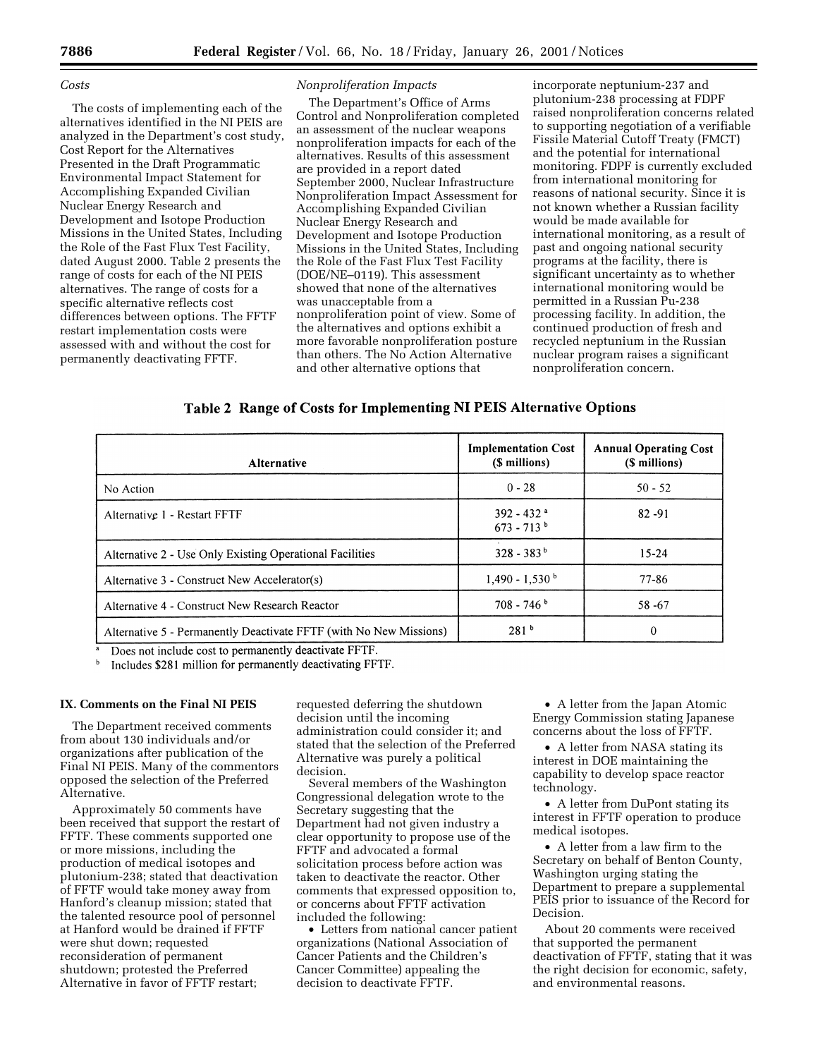#### *Costs*

The costs of implementing each of the alternatives identified in the NI PEIS are analyzed in the Department's cost study, Cost Report for the Alternatives Presented in the Draft Programmatic Environmental Impact Statement for Accomplishing Expanded Civilian Nuclear Energy Research and Development and Isotope Production Missions in the United States, Including the Role of the Fast Flux Test Facility, dated August 2000. Table 2 presents the range of costs for each of the NI PEIS alternatives. The range of costs for a specific alternative reflects cost differences between options. The FFTF restart implementation costs were assessed with and without the cost for permanently deactivating FFTF.

# *Nonproliferation Impacts*

The Department's Office of Arms Control and Nonproliferation completed an assessment of the nuclear weapons nonproliferation impacts for each of the alternatives. Results of this assessment are provided in a report dated September 2000, Nuclear Infrastructure Nonproliferation Impact Assessment for Accomplishing Expanded Civilian Nuclear Energy Research and Development and Isotope Production Missions in the United States, Including the Role of the Fast Flux Test Facility (DOE/NE–0119). This assessment showed that none of the alternatives was unacceptable from a nonproliferation point of view. Some of the alternatives and options exhibit a more favorable nonproliferation posture than others. The No Action Alternative and other alternative options that

incorporate neptunium-237 and plutonium-238 processing at FDPF raised nonproliferation concerns related to supporting negotiation of a verifiable Fissile Material Cutoff Treaty (FMCT) and the potential for international monitoring. FDPF is currently excluded from international monitoring for reasons of national security. Since it is not known whether a Russian facility would be made available for international monitoring, as a result of past and ongoing national security programs at the facility, there is significant uncertainty as to whether international monitoring would be permitted in a Russian Pu-238 processing facility. In addition, the continued production of fresh and recycled neptunium in the Russian nuclear program raises a significant nonproliferation concern.

# Table 2 Range of Costs for Implementing NI PEIS Alternative Options

| Alternative                                                        | <b>Implementation Cost</b><br>(\$ millions) | <b>Annual Operating Cost</b><br>(\$ millions) |
|--------------------------------------------------------------------|---------------------------------------------|-----------------------------------------------|
| No Action                                                          | $0 - 28$                                    | $50 - 52$                                     |
| Alternative 1 - Restart FFTF                                       | $392 - 432$ <sup>a</sup><br>$673 - 713^{b}$ | $82 - 91$                                     |
| Alternative 2 - Use Only Existing Operational Facilities           | $328 - 383^{b}$                             | $15 - 24$                                     |
| Alternative 3 - Construct New Accelerator(s)                       | $1.490 - 1.530$                             | 77-86                                         |
| Alternative 4 - Construct New Research Reactor                     | $708 - 746^{\circ}$                         | 58-67                                         |
| Alternative 5 - Permanently Deactivate FFTF (with No New Missions) | 281 <sup>b</sup>                            | $\theta$                                      |

Does not include cost to permanently deactivate FFTF.

Includes \$281 million for permanently deactivating FFTF.

#### **IX. Comments on the Final NI PEIS**

The Department received comments from about 130 individuals and/or organizations after publication of the Final NI PEIS. Many of the commentors opposed the selection of the Preferred Alternative.

Approximately 50 comments have been received that support the restart of FFTF. These comments supported one or more missions, including the production of medical isotopes and plutonium-238; stated that deactivation of FFTF would take money away from Hanford's cleanup mission; stated that the talented resource pool of personnel at Hanford would be drained if FFTF were shut down; requested reconsideration of permanent shutdown; protested the Preferred Alternative in favor of FFTF restart;

requested deferring the shutdown decision until the incoming administration could consider it; and stated that the selection of the Preferred Alternative was purely a political decision.

Several members of the Washington Congressional delegation wrote to the Secretary suggesting that the Department had not given industry a clear opportunity to propose use of the FFTF and advocated a formal solicitation process before action was taken to deactivate the reactor. Other comments that expressed opposition to, or concerns about FFTF activation included the following:

• Letters from national cancer patient organizations (National Association of Cancer Patients and the Children's Cancer Committee) appealing the decision to deactivate FFTF.

• A letter from the Japan Atomic Energy Commission stating Japanese concerns about the loss of FFTF.

• A letter from NASA stating its interest in DOE maintaining the capability to develop space reactor technology.

• A letter from DuPont stating its interest in FFTF operation to produce medical isotopes.

• A letter from a law firm to the Secretary on behalf of Benton County, Washington urging stating the Department to prepare a supplemental PEIS prior to issuance of the Record for Decision.

About 20 comments were received that supported the permanent deactivation of FFTF, stating that it was the right decision for economic, safety, and environmental reasons.